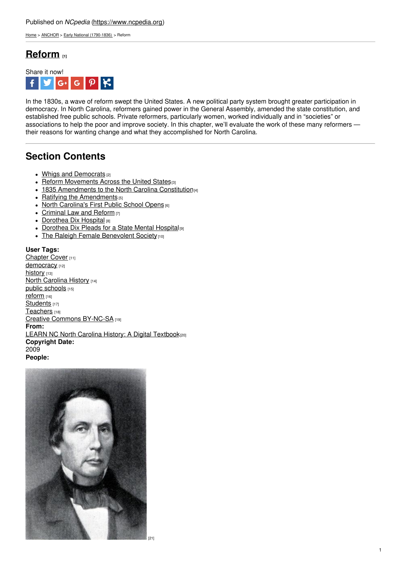[Home](https://www.ncpedia.org/) > [ANCHOR](https://www.ncpedia.org/anchor/anchor) > Early National [\(1790-1836\)](https://www.ncpedia.org/anchor/early-national-1790-1836) > Reform

## **[Reform](https://www.ncpedia.org/anchor/reform) [1]**



In the 1830s, a wave of reform swept the United States. A new political party system brought greater participation in democracy. In North Carolina, reformers gained power in the General Assembly, amended the state constitution, and established free public schools. Private reformers, particularly women, worked individually and in "societies" or associations to help the poor and improve society. In this chapter, we'll evaluate the work of these many reformers their reasons for wanting change and what they accomplished for North Carolina.

# **Section Contents**

- Whigs and [Democrats](https://www.ncpedia.org/anchor/whigs-and-democrats) [2]
- Reform [Movements](https://www.ncpedia.org/anchor/reform-movements-across) Across the [United](http://www.social9.com) States<sup>[3]</sup>
- 1835 [Amendments](https://www.ncpedia.org/anchor/1835-amendments-north) to the North Carolina Constitution<sup>[4]</sup>
- $\bullet$  Ratifying the [Amendments](https://www.ncpedia.org/anchor/ratifying-amendments) [5]
- North [Carolina's](https://www.ncpedia.org/anchor/north-carolinas-first-public) First Public School Opens [6]
- [Criminal](https://www.ncpedia.org/anchor/criminal-law-and-reform) Law and Reform [7]
- [Dorothea](https://www.ncpedia.org/anchor/dorothea-dix-hospital) Dix Hospital [8]
- [Dorothea](https://www.ncpedia.org/anchor/dorothea-dix-pleads-state) Dix Pleads for a State Mental Hospital [9]
- The Raleigh Female [Benevolent](https://www.ncpedia.org/anchor/raleigh-female-benevolent) Society<sup>[10]</sup>

### **User Tags:**

[Chapter](https://www.ncpedia.org/category/user-tags/chapter-cover) Cover [11] [democracy](https://www.ncpedia.org/category/user-tags/democracy) [12] [history](https://www.ncpedia.org/category/user-tags/history) [13] North [Carolina](https://www.ncpedia.org/category/user-tags/north-carolina-6) History [14] public [schools](https://www.ncpedia.org/category/user-tags/public-schools) [15] [reform](https://www.ncpedia.org/category/user-tags/reform) [16] [Students](https://www.ncpedia.org/category/user-tags/students) [17] [Teachers](https://www.ncpedia.org/category/user-tags/teachers) [18] Creative Commons [BY-NC-SA](https://www.ncpedia.org/category/user-tags/creative-commons) [19] **From:** LEARN NC North Carolina History: A Digital [Textbook](https://www.ncpedia.org/category/entry-source/learn-nc)<sup>[20]</sup> **Copyright Date:** 2009 **People:**